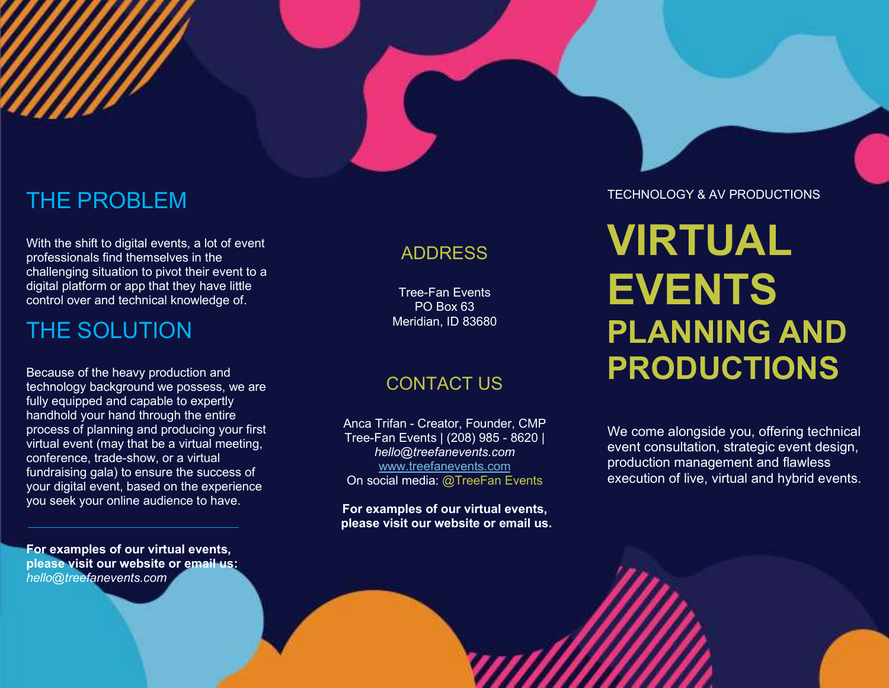### THE PROBLEM

With the shift to digital events, a lot of event professionals find themselves in the challenging situation to pivot their event to a digital platform or app that they have little control over and technical knowledge of.

### THE SOLUTION

Because of the heavy production and technology background we possess, we are fully equipped and capable to expertly handhold your hand through the entire process of planning and producing your first virtual event (may that be a virtual meeting, conference, trade-show, or a virtual fundraising gala) to ensure the success of your digital event, based on the experience you seek your online audience to have.

For examples of our virtual events, please visit our website or email us: hello@treefanevents.com

#### ADDRESS

Tree-Fan Events PO Box 63 Meridian, ID 83680

### CONTACT US

Anca Trifan - Creator, Founder, CMP Tree-Fan Events | (208) 985 - 8620 | hello@treefanevents.com www.treefanevents.com On social media: @TreeFan Events

For examples of our virtual events, please visit our website or email us. TECHNOLOGY & AV PRODUCTIONS

# VIRTUAL **EVENTS** PLANNING AND PRODUCTIONS

We come alongside you, offering technical event consultation, strategic event design, production management and flawless execution of live, virtual and hybrid events.